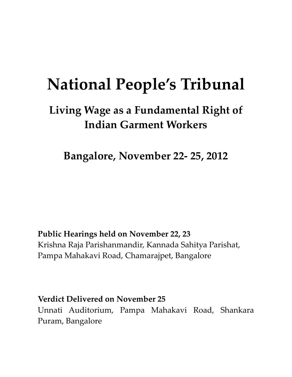# **National People's Tribunal**

# **Living Wage as a Fundamental Right of Indian Garment Workers**

**Bangalore, November 22‐ 25, 2012**

**Public Hearings held on November 22, 23**  Krishna Raja Parishanmandir, Kannada Sahitya Parishat, Pampa Mahakavi Road, Chamarajpet, Bangalore

**Verdict Delivered on November 25** Unnati Auditorium, Pampa Mahakavi Road, Shankara Puram, Bangalore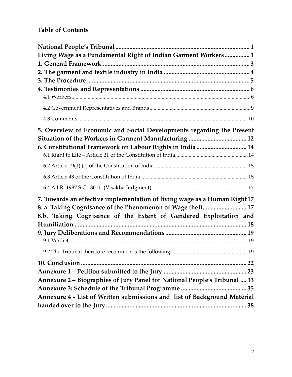# **Table of Contents**

| Living Wage as a Fundamental Right of Indian Garment Workers 1            |
|---------------------------------------------------------------------------|
|                                                                           |
|                                                                           |
|                                                                           |
|                                                                           |
|                                                                           |
|                                                                           |
| 5. Overview of Economic and Social Developments regarding the Present     |
|                                                                           |
| 6. Constitutional Framework on Labour Rights in India  14                 |
|                                                                           |
|                                                                           |
|                                                                           |
| 7. Towards an effective implementation of living wage as a Human Right 17 |
| 8. a. Taking Cognisance of the Phenomenon of Wage theft 17                |
| 8.b. Taking Cognisance of the Extent of Gendered Exploitation and         |
|                                                                           |
|                                                                           |
|                                                                           |
|                                                                           |
|                                                                           |
|                                                                           |
| Annexure 2 - Biographies of Jury Panel for National People's Tribunal  33 |
|                                                                           |
| Annexure 4 - List of Written submissions and list of Background Material  |
|                                                                           |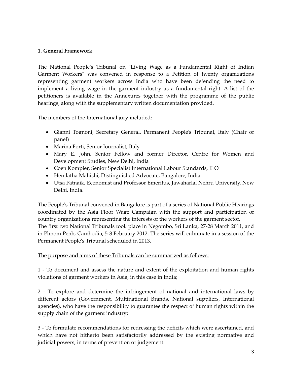# **1. General Framework**

The National People's Tribunal on "Living Wage as a Fundamental Right of Indian Garment Workers<sup>"</sup> was convened in response to a Petition of twenty organizations representing garment workers across India who have been defending the need to implement a living wage in the garment industry as a fundamental right. A list of the petitioners is available in the Annexures together with the programme of the public hearings, along with the supplementary written documentation provided.

The members of the International jury included:

- Gianni Tognoni, Secretary General, Permanent People's Tribunal, Italy (Chair of panel)
- Marina Forti, Senior Journalist, Italy
- Mary E. John, Senior Fellow and former Director, Centre for Women and Development Studies, New Delhi, India
- Coen Kompier, Senior Specialist International Labour Standards, ILO
- Hemlatha Mahishi, Distinguished Advocate, Bangalore, India
- Utsa Patnaik, Economist and Professor Emeritus, Jawaharlal Nehru University, New Delhi, India.

The Peopleʹs Tribunal convened in Bangalore is part of a series of National Public Hearings coordinated by the Asia Floor Wage Campaign with the support and participation of country organizations representing the interests of the workers of the garment sector. The first two National Tribunals took place in Negombo, Sri Lanka, 27‐28 March 2011, and in Phnom Penh, Cambodia, 5‐8 February 2012. The series will culminate in a session of the Permanent Peopleʹs Tribunal scheduled in 2013.

#### The purpose and aims of these Tribunals can be summarized as follows:

1 ‐ To document and assess the nature and extent of the exploitation and human rights violations of garment workers in Asia, in this case in India;

2 ‐ To explore and determine the infringement of national and international laws by different actors (Government, Multinational Brands, National suppliers, International agencies), who have the responsibility to guarantee the respect of human rights within the supply chain of the garment industry;

3 ‐ To formulate recommendations for redressing the deficits which were ascertained, and which have not hitherto been satisfactorily addressed by the existing normative and judicial powers, in terms of prevention or judgement.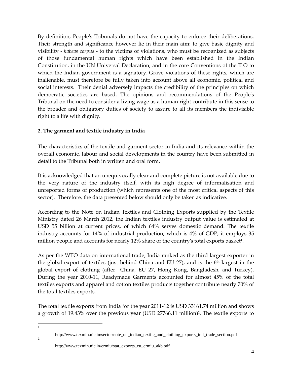By definition, People's Tribunals do not have the capacity to enforce their deliberations. Their strength and significance however lie in their main aim: to give basic dignity and visibility ‐ *habeas corpus* ‐ to the victims of violations, who must be recognized as subjects of those fundamental human rights which have been established in the Indian Constitution, in the UN Universal Declaration, and in the core Conventions of the ILO to which the Indian government is a signatory. Grave violations of these rights, which are inalienable, must therefore be fully taken into account above all economic, political and social interests. Their denial adversely impacts the credibility of the principles on which democratic societies are based. The opinions and recommendations of the Peopleʹs Tribunal on the need to consider a living wage as a human right contribute in this sense to the broader and obligatory duties of society to assure to all its members the indivisible right to a life with dignity.

# **2. The garment and textile industry in India**

The characteristics of the textile and garment sector in India and its relevance within the overall economic, labour and social developments in the country have been submitted in detail to the Tribunal both in written and oral form.

It is acknowledged that an unequivocally clear and complete picture is not available due to the very nature of the industry itself, with its high degree of informalisation and unreported forms of production (which represents one of the most critical aspects of this sector). Therefore, the data presented below should only be taken as indicative.

According to the Note on Indian Textiles and Clothing Exports supplied by the Textile Ministry dated 26 March 2012, the Indian textiles industry output value is estimated at USD 55 billion at current prices, of which 64% serves domestic demand. The textile industry accounts for 14% of industrial production, which is 4% of GDP; it employs 35 million people and accounts for nearly 12% share of the country's total exports basket<sup>1</sup>.

As per the WTO data on international trade, India ranked as the third largest exporter in the global export of textiles (just behind China and EU 27), and is the  $6<sup>th</sup>$  largest in the global export of clothing (after China, EU 27, Hong Kong, Bangladesh, and Turkey). During the year 2010‐11, Readymade Garments accounted for almost 45% of the total textiles exports and apparel and cotton textiles products together contribute nearly 70% of the total textiles exports.

The total textile exports from India for the year 2011‐12 is USD 33161.74 million and shows a growth of 19.43% over the previous year (USD 27766.11 million)2. The textile exports to

 $\overline{a}$ 1

 $\mathcal{L}$ 

http://www.texmin.nic.in/ermiu/stat\_exports\_eu\_ermiu\_akb.pdf

http://www.texmin.nic.in/sector/note\_on\_indian\_textile\_and\_clothing\_exports\_intl\_trade\_section.pdf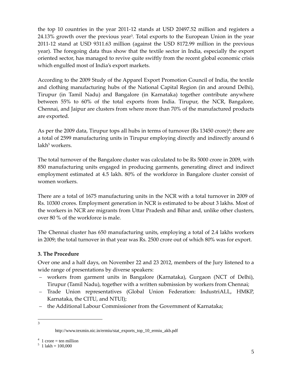the top 10 countries in the year 2011‐12 stands at USD 20497.52 million and registers a 24.13% growth over the previous year<sup>3</sup>. Total exports to the European Union in the year 2011‐12 stand at USD 9311.63 million (against the USD 8172.99 million in the previous year). The foregoing data thus show that the textile sector in India, especially the export oriented sector, has managed to revive quite swiftly from the recent global economic crisis which engulfed most of India's export markets.

According to the 2009 Study of the Apparel Export Promotion Council of India, the textile and clothing manufacturing hubs of the National Capital Region (in and around Delhi), Tirupur (in Tamil Nadu) and Bangalore (in Karnataka) together contribute anywhere between 55% to 60% of the total exports from India. Tirupur, the NCR, Bangalore, Chennai, and Jaipur are clusters from where more than 70% of the manufactured products are exported.

As per the 2009 data, Tirupur tops all hubs in terms of turnover (Rs  $13450$  crore)<sup>4</sup>; there are a total of 2599 manufacturing units in Tirupur employing directly and indirectly around 6  $l$ akh<sup>5</sup> workers.

The total turnover of the Bangalore cluster was calculated to be Rs 5000 crore in 2009, with 850 manufacturing units engaged in producing garments, generating direct and indirect employment estimated at 4.5 lakh. 80% of the workforce in Bangalore cluster consist of women workers.

There are a total of 1675 manufacturing units in the NCR with a total turnover in 2009 of Rs. 10300 crores. Employment generation in NCR is estimated to be about 3 lakhs. Most of the workers in NCR are migrants from Uttar Pradesh and Bihar and, unlike other clusters, over 80 % of the workforce is male.

The Chennai cluster has 650 manufacturing units, employing a total of 2.4 lakhs workers in 2009; the total turnover in that year was Rs. 2500 crore out of which 80% was for export.

# **3. The Procedure**

Over one and a half days, on November 22 and 23 2012, members of the Jury listened to a wide range of presentations by diverse speakers:

- workers from garment units in Bangalore (Karnataka), Gurgaon (NCT of Delhi), Tirupur (Tamil Nadu), together with a written submission by workers from Chennai;
- Trade Union representatives (Global Union Federation: IndustriALL, HMKP, Karnataka, the CITU, and NTUI);
- the Additional Labour Commissioner from the Government of Karnataka;
- $\frac{1}{3}$

http://www.texmin.nic.in/ermiu/stat\_exports\_top\_10\_ermiu\_akb.pdf

 $4 \text{ 1 core} = \text{ten million}$ 

 $1$  lakh = 100,000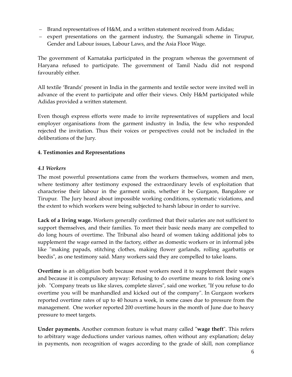- Brand representatives of H&M, and a written statement received from Adidas;
- expert presentations on the garment industry, the Sumangali scheme in Tirupur, Gender and Labour issues, Labour Laws, and the Asia Floor Wage.

The government of Karnataka participated in the program whereas the government of Haryana refused to participate. The government of Tamil Nadu did not respond favourably either.

All textile 'Brands' present in India in the garments and textile sector were invited well in advance of the event to participate and offer their views. Only H&M participated while Adidas provided a written statement.

Even though express efforts were made to invite representatives of suppliers and local employer organisations from the garment industry in India, the few who responded rejected the invitation. Thus their voices or perspectives could not be included in the deliberations of the Jury.

# **4. Testimonies and Representations**

#### *4.1 Workers*

The most powerful presentations came from the workers themselves, women and men, where testimony after testimony exposed the extraordinary levels of exploitation that characterise their labour in the garment units, whether it be Gurgaon, Bangalore or Tirupur. The Jury heard about impossible working conditions, systematic violations, and the extent to which workers were being subjected to harsh labour in order to survive.

**Lack of a living wage.** Workers generally confirmed that their salaries are not sufficient to support themselves, and their families. To meet their basic needs many are compelled to do long hours of overtime. The Tribunal also heard of women taking additional jobs to supplement the wage earned in the factory, either as domestic workers or in informal jobs like "making papads, stitching clothes, making flower garlands, rolling agarbattis or beedis", as one testimony said. Many workers said they are compelled to take loans.

**Overtime** is an obligation both because most workers need it to supplement their wages and because it is compulsory anyway: Refusing to do overtime means to risk losing oneʹs job. "Company treats us like slaves, complete slaves", said one worker, "If you refuse to do overtime you will be manhandled and kicked out of the company". In Gurgaon workers reported overtime rates of up to 40 hours a week, in some cases due to pressure from the management. One worker reported 200 overtime hours in the month of June due to heavy pressure to meet targets.

**Under payments.** Another common feature is what many called "wage theft". This refers to arbitrary wage deductions under various names, often without any explanation; delay in payments, non recognition of wages according to the grade of skill, non compliance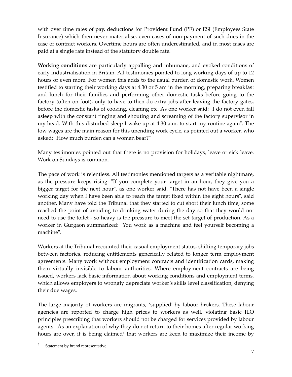with over time rates of pay, deductions for Provident Fund (PF) or ESI (Employees State Insurance) which then never materialise, even cases of non‐payment of such dues in the case of contract workers. Overtime hours are often underestimated, and in most cases are paid at a single rate instead of the statutory double rate.

**Working conditions** are particularly appalling and inhumane, and evoked conditions of early industrialisation in Britain. All testimonies pointed to long working days of up to 12 hours or even more. For women this adds to the usual burden of domestic work. Women testified to starting their working days at 4.30 or 5 am in the morning, preparing breakfast and lunch for their families and performing other domestic tasks before going to the factory (often on foot), only to have to then do extra jobs after leaving the factory gates, before the domestic tasks of cooking, cleaning etc. As one worker said: "I do not even fall asleep with the constant ringing and shouting and screaming of the factory supervisor in my head. With this disturbed sleep I wake up at 4.30 a.m. to start my routine again". The low wages are the main reason for this unending work cycle, as pointed out a worker, who asked: "How much burden can a woman bear?"

Many testimonies pointed out that there is no provision for holidays, leave or sick leave. Work on Sundays is common.

The pace of work is relentless. All testimonies mentioned targets as a veritable nightmare, as the pressure keeps rising: "If you complete your target in an hour, they give you a bigger target for the next hour", as one worker said. "There has not have been a single working day when I have been able to reach the target fixed within the eight hours", said another. Many have told the Tribunal that they started to cut short their lunch time; some reached the point of avoiding to drinking water during the day so that they would not need to use the toilet ‐ so heavy is the pressure to meet the set target of production. As a worker in Gurgaon summarized: "You work as a machine and feel yourself becoming a machineʺ.

Workers at the Tribunal recounted their casual employment status, shifting temporary jobs between factories, reducing entitlements generically related to longer term employment agreements. Many work without employment contracts and identification cards, making them virtually invisible to labour authorities. Where employment contracts are being issued, workers lack basic information about working conditions and employment terms, which allows employers to wrongly depreciate worker's skills level classification, denying their due wages.

The large majority of workers are migrants, 'supplied' by labour brokers. These labour agencies are reported to charge high prices to workers as well, violating basic ILO principles prescribing that workers should not be charged for services provided by labour agents. As an explanation of why they do not return to their homes after regular working hours are over, it is being claimed that workers are keen to maximize their income by

 $\overline{a}$ 6 Statement by brand representative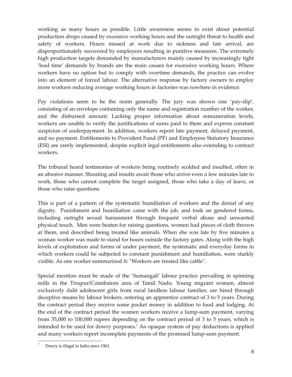working as many hours as possible. Little awareness seems to exist about potential production drops caused by excessive working hours and the outright threat to health and safety of workers. Hours missed at work due to sickness and late arrival, are disproportionately recovered by employers resulting in punitive measures. The extremely high production targets demanded by manufacturers mainly caused by increasingly tight 'lead time' demands by brands are the main causes for excessive working hours. Where workers have no option but to comply with overtime demands, the practice can evolve into an element of forced labour. The alternative response by factory owners to employ more workers reducing average working hours in factories was nowhere in evidence.

Pay violations seem to be the norm generally. The jury was shown one 'pay‐slip', consisting of an envelope containing only the name and registration number of the worker, and the disbursed amount. Lacking proper information about remuneration levels, workers are unable to verify the justifications of sums paid to them and express constant suspicion of underpayment. In addition, workers report late payment, delayed payment, and no payment. Entitlements to Provident Fund (PF) and Employees Statutory Insurance (ESI) are rarely implemented, despite explicit legal entitlements also extending to contract workers.

The tribunal heard testimonies of workers being routinely scolded and insulted, often in an abusive manner. Shouting and insults await those who arrive even a few minutes late to work, those who cannot complete the target assigned, those who take a day of leave, or those who raise questions.

This is part of a pattern of the systematic humiliation of workers and the denial of any dignity. Punishment and humiliation came with the job, and took on gendered forms, including outright sexual harassment through frequent verbal abuse and unwanted physical touch. Men were beaten for raising questions, women had pieces of cloth thrown at them, and described being treated like animals. When she was late by five minutes a woman worker was made to stand for hours outside the factory gates. Along with the high levels of exploitation and forms of under payment, the systematic and everyday forms in which workers could be subjected to constant punishment and humiliation, were starkly visible. As one worker summarized it: "Workers are treated like cattle".

Special mention must be made of the 'Sumangali' labour practice prevailing in spinning mills in the Tirupur/Coimbatore area of Tamil Nadu. Young migrant women, almost exclusively dalit adolescent girls from rural landless labour families, are hired through deceptive means by labour brokers, entering an apprentice contract of 3 to 5 years. During the contract period they receive some pocket money in addition to food and lodging. At the end of the contract period the women workers receive a lump‐sum payment, varying from 35,000 to 100,000 rupees depending on the contract period of 3 to 5 years, which is intended to be used for dowry purposes.7 An opaque system of pay deductions is applied and many workers report incomplete payments of the promised lump‐sum payment.

 $\overline{a}$ 7 Dowry is illegal in India since 1961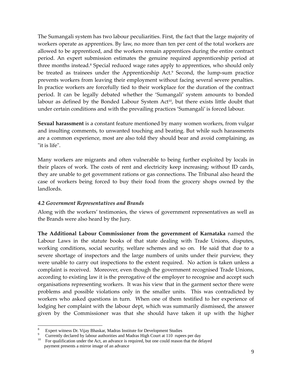The Sumangali system has two labour peculiarities. First, the fact that the large majority of workers operate as apprentices. By law, no more than ten per cent of the total workers are allowed to be apprenticed, and the workers remain apprentices during the entire contract period. An expert submission estimates the genuine required apprenticeship period at three months instead.<sup>8</sup> Special reduced wage rates apply to apprentices, who should only be treated as trainees under the Apprenticeship Act.<sup>9</sup> Second, the lump-sum practice prevents workers from leaving their employment without facing several severe penalties. In practice workers are forcefully tied to their workplace for the duration of the contract period. It can be legally debated whether the 'Sumangali' system amounts to bonded labour as defined by the Bonded Labour System Act<sup>10</sup>, but there exists little doubt that under certain conditions and with the prevailing practices 'Sumangali' is forced labour.

**Sexual harassment** is a constant feature mentioned by many women workers, from vulgar and insulting comments, to unwanted touching and beating. But while such harassments are a common experience, most are also told they should bear and avoid complaining, as "it is life".

Many workers are migrants and often vulnerable to being further exploited by locals in their places of work. The costs of rent and electricity keep increasing; without ID cards, they are unable to get government rations or gas connections. The Tribunal also heard the case of workers being forced to buy their food from the grocery shops owned by the landlords.

#### *4.2 Government Representatives and Brands*

Along with the workers' testimonies, the views of government representatives as well as the Brands were also heard by the Jury.

**The Additional Labour Commissioner from the government of Karnataka** named the Labour Laws in the statute books of that state dealing with Trade Unions, disputes, working conditions, social security, welfare schemes and so on. He said that due to a severe shortage of inspectors and the large numbers of units under their purview, they were unable to carry out inspections to the extent required. No action is taken unless a complaint is received. Moreover, even though the government recognised Trade Unions, according to existing law it is the prerogative of the employer to recognise and accept such organisations representing workers. It was his view that in the garment sector there were problems and possible violations only in the smaller units. This was contradicted by workers who asked questions in turn. When one of them testified to her experience of lodging her complaint with the labour dept, which was summarily dismissed, the answer given by the Commissioner was that she should have taken it up with the higher

 $\overline{a}$ 

<sup>8</sup> Expert witness Dr. Vijay Bhaskar, Madras Institute for Development Studies

<sup>9</sup> Currently declared by labour authorities and Madras High Court at 110 rupees per day

<sup>10</sup> For qualification under the Act, an advance is required, but one could reason that the delayed payment presents a mirror image of an advance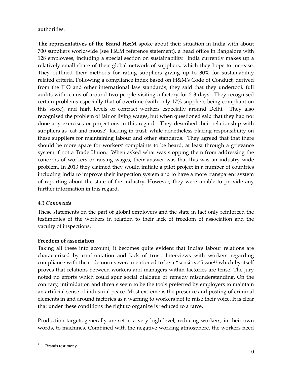authorities.

**The representatives of the Brand H&M** spoke about their situation in India with about 700 suppliers worldwide (see H&M reference statement), a head office in Bangalore with 128 employees, including a special section on sustainability. India currently makes up a relatively small share of their global network of suppliers, which they hope to increase. They outlined their methods for rating suppliers giving up to 30% for sustainability related criteria. Following a compliance index based on H&M's Code of Conduct, derived from the ILO and other international law standards, they said that they undertook full audits with teams of around two people visiting a factory for 2‐3 days. They recognised certain problems especially that of overtime (with only 17% suppliers being compliant on this score), and high levels of contract workers especially around Delhi. They also recognised the problem of fair or living wages, but when questioned said that they had not done any exercises or projections in this regard. They described their relationship with suppliers as 'cat and mouse', lacking in trust, while nonetheless placing responsibility on these suppliers for maintaining labour and other standards. They agreed that that there should be more space for workers' complaints to be heard, at least through a grievance system if not a Trade Union. When asked what was stopping them from addressing the concerns of workers or raising wages, their answer was that this was an industry wide problem. In 2013 they claimed they would initiate a pilot project in a number of countries including India to improve their inspection system and to have a more transparent system of reporting about the state of the industry. However, they were unable to provide any further information in this regard.

#### *4.3 Comments*

These statements on the part of global employers and the state in fact only reinforced the testimonies of the workers in relation to their lack of freedom of association and the vacuity of inspections.

#### **Freedom of association**

Taking all these into account, it becomes quite evident that India's labour relations are characterized by confrontation and lack of trust. Interviews with workers regarding compliance with the code norms were mentioned to be a "sensitive" issue<sup>11</sup> which by itself proves that relations between workers and managers within factories are tense. The jury noted no efforts which could spur social dialogue or remedy misunderstanding. On the contrary, intimidation and threats seem to be the tools preferred by employers to maintain an artificial sense of industrial peace. Most extreme is the presence and posting of criminal elements in and around factories as a warning to workers not to raise their voice. It is clear that under these conditions the right to organize is reduced to a farce.

Production targets generally are set at a very high level, reducing workers, in their own words, to machines. Combined with the negative working atmosphere, the workers need

 $\overline{a}$  $11$  Brands testimony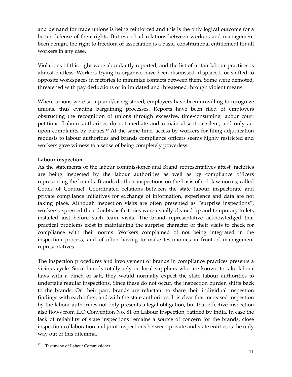and demand for trade unions is being reinforced and this is the only logical outcome for a better defense of their rights. But even had relations between workers and management been benign, the right to freedom of association is a basic, constitutional entitlement for all workers in any case.

Violations of this right were abundantly reported, and the list of unfair labour practices is almost endless. Workers trying to organize have been dismissed, displaced, or shifted to opposite workspaces in factories to minimize contacts between them. Some were demoted, threatened with pay deductions or intimidated and threatened through violent means.

Where unions were set up and/or registered, employers have been unwilling to recognize unions, thus evading bargaining processes. Reports have been filed of employers obstructing the recognition of unions through excessive, time‐consuming labour court petitions. Labour authorities do not mediate and remain absent or silent, and only act upon complaints by parties.12 At the same time, access by workers for filing adjudication requests to labour authorities and brands compliance officers seems highly restricted and workers gave witness to a sense of being completely powerless.

# **Labour inspection**

As the statements of the labour commissioner and Brand representatives attest, factories are being inspected by the labour authorities as well as by compliance officers representing the brands. Brands do their inspections on the basis of soft law norms, called Codes of Conduct. Coordinated relations between the state labour inspectorate and private compliance initiatives for exchange of information, experience and data are not taking place. Although inspection visits are often presented as "surprise inspections", workers expressed their doubts as factories were usually cleaned up and temporary toilets installed just before such team visits. The brand representative acknowledged that practical problems exist in maintaining the surprise character of their visits to check for compliance with their norms. Workers complained of not being integrated in the inspection process, and of often having to make testimonies in front of management representatives.

The inspection procedures and involvement of brands in compliance practices presents a vicious cycle. Since brands totally rely on local suppliers who are known to take labour laws with a pinch of salt, they would normally expect the state labour authorities to undertake regular inspections. Since these do not occur, the inspection burden shifts back to the brands. On their part, brands are reluctant to share their individual inspection findings with each other, and with the state authorities. It is clear that increased inspection by the labour authorities not only presents a legal obligation, but that effective inspection also flows from ILO Convention No. 81 on Labour Inspection, ratified by India. In case the lack of reliability of state inspections remains a source of concern for the brands, close inspection collaboration and joint inspections between private and state entities is the only way out of this dilemma.

<sup>12</sup> Testimony of Labour Commissioner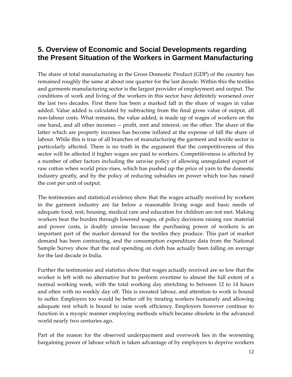# **5. Overview of Economic and Social Developments regarding the Present Situation of the Workers in Garment Manufacturing**

The share of total manufacturing in the Gross Domestic Product (GDP) of the country has remained roughly the same at about one quarter for the last decade. Within this the textiles and garments manufacturing sector is the largest provider of employment and output. The conditions of work and living of the workers in this sector have definitely worsened over the last two decades. First there has been a marked fall in the share of wages in value added. Value added is calculated by subtracting from the final gross value of output, all non‐labour costs. What remains, the value added, is made up of wages of workers on the one hand, and all other incomes ‐‐ profit, rent and interest, on the other. The share of the latter which are property incomes has become inflated at the expense of fall the share of labour. While this is true of all branches of manufacturing the garment and textile sector is particularly affected. There is no truth in the argument that the competitiveness of this sector will be affected if higher wages are paid to workers. Competitiveness is affected by a number of other factors including the unwise policy of allowing unregulated export of raw cotton when world price rises, which has pushed up the price of yarn to the domestic industry greatly, and by the policy of reducing subsidies on power which too has raised the cost per unit of output.

The testimonies and statistical evidence show that the wages actually received by workers in the garment industry are far below a reasonable living wage and basic needs of adequate food, rest, housing, medical care and education for children are not met. Making workers bear the burden through lowered wages, of policy decisions raising raw material and power costs, is doubly unwise because the purchasing power of workers is an important part of the market demand for the textiles they produce. This part of market demand has been contracting, and the consumption expenditure data from the National Sample Survey show that the real spending on cloth has actually been falling on average for the last decade in India.

Further the testimonies and statistics show that wages actually received are so low that the worker is left with no alternative but to perform overtime to almost the full extent of a normal working week, with the total working day stretching to between 12 to 14 hours and often with no weekly day off. This is sweated labour, and attention to work is bound to suffer. Employers too would be better off by treating workers humanely and allowing adequate rest which is bound to raise work efficiency. Employers however continue to function in a myopic manner employing methods which became obsolete in the advanced world nearly two centuries ago.

Part of the reason for the observed underpayment and overwork lies in the worsening bargaining power of labour which is taken advantage of by employers to deprive workers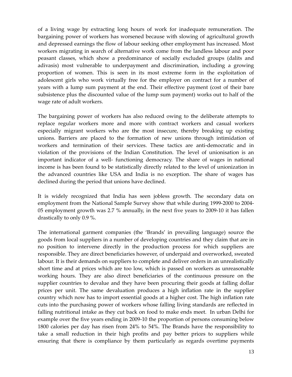of a living wage by extracting long hours of work for inadequate remuneration. The bargaining power of workers has worsened because with slowing of agricultural growth and depressed earnings the flow of labour seeking other employment has increased. Most workers migrating in search of alternative work come from the landless labour and poor peasant classes, which show a predominance of socially excluded groups (dalits and adivasis) most vulnerable to underpayment and discrimination, including a growing proportion of women. This is seen in its most extreme form in the exploitation of adolescent girls who work virtually free for the employer on contract for a number of years with a lump sum payment at the end. Their effective payment (cost of their bare subsistence plus the discounted value of the lump sum payment) works out to half of the wage rate of adult workers.

The bargaining power of workers has also reduced owing to the deliberate attempts to replace regular workers more and more with contract workers and casual workers especially migrant workers who are the most insecure, thereby breaking up existing unions. Barriers are placed to the formation of new unions through intimidation of workers and termination of their services. These tactics are anti-democratic and in violation of the provisions of the Indian Constitution. The level of unionisation is an important indicator of a well‐ functioning democracy. The share of wages in national income is has been found to be statistically directly related to the level of unionization in the advanced countries like USA and India is no exception. The share of wages has declined during the period that unions have declined.

It is widely recognized that India has seen jobless growth. The secondary data on employment from the National Sample Survey show that while during 1999‐2000 to 2004‐ 05 employment growth was 2.7 % annually, in the next five years to 2009‐10 it has fallen drastically to only 0.9 %.

The international garment companies (the 'Brands' in prevailing language) source the goods from local suppliers in a number of developing countries and they claim that are in no position to intervene directly in the production process for which suppliers are responsible. They are direct beneficiaries however, of underpaid and overworked, sweated labour. It is their demands on suppliers to complete and deliver orders in an unrealistically short time and at prices which are too low, which is passed on workers as unreasonable working hours. They are also direct beneficiaries of the continuous pressure on the supplier countries to devalue and they have been procuring their goods at falling dollar prices per unit. The same devaluation produces a high inflation rate in the supplier country which now has to import essential goods at a higher cost. The high inflation rate cuts into the purchasing power of workers whose falling living standards are reflected in falling nutritional intake as they cut back on food to make ends meet. In urban Delhi for example over the five years ending in 2009‐10 the proportion of persons consuming below 1800 calories per day has risen from 24% to 54%. The Brands have the responsibility to take a small reduction in their high profits and pay better prices to suppliers while ensuring that there is compliance by them particularly as regards overtime payments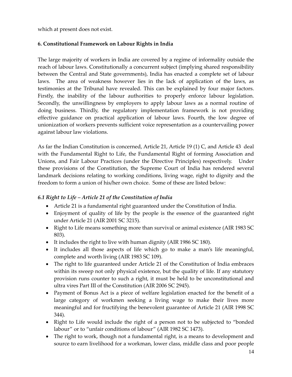which at present does not exist.

# **6. Constitutional Framework on Labour Rights in India**

The large majority of workers in India are covered by a regime of informality outside the reach of labour laws. Constitutionally a concurrent subject (implying shared responsibility between the Central and State governments), India has enacted a complete set of labour laws. The area of weakness however lies in the lack of application of the laws, as testimonies at the Tribunal have revealed. This can be explained by four major factors. Firstly, the inability of the labour authorities to properly enforce labour legislation. Secondly, the unwillingness by employers to apply labour laws as a normal routine of doing business. Thirdly, the regulatory implementation framework is not providing effective guidance on practical application of labour laws. Fourth, the low degree of unionization of workers prevents sufficient voice representation as a countervailing power against labour law violations.

As far the Indian Constitution is concerned, Article 21, Article 19 (1) C, and Article 43 deal with the Fundamental Right to Life, the Fundamental Right of forming Association and Unions, and Fair Labour Practices (under the Directive Principles) respectively. Under these provisions of the Constitution, the Supreme Court of India has rendered several landmark decisions relating to working conditions, living wage, right to dignity and the freedom to form a union of his/her own choice. Some of these are listed below:

#### *6.1 Right to Life – Article 21 of the Constitution of India*

- Article 21 is a fundamental right guaranteed under the Constitution of India.
- Enjoyment of quality of life by the people is the essence of the guaranteed right under Article 21 (AIR 2001 SC 3215).
- Right to Life means something more than survival or animal existence (AIR 1983 SC 803).
- It includes the right to live with human dignity (AIR 1986 SC 180).
- It includes all those aspects of life which go to make a man's life meaningful, complete and worth living (AIR 1983 SC 109).
- The right to life guaranteed under Article 21 of the Constitution of India embraces within its sweep not only physical existence, but the quality of life. If any statutory provision runs counter to such a right, it must be held to be unconstitutional and ultra vires Part III of the Constitution (AIR 2006 SC 2945).
- Payment of Bonus Act is a piece of welfare legislation enacted for the benefit of a large category of workmen seeking a living wage to make their lives more meaningful and for fructifying the benevolent guarantee of Article 21 (AIR 1998 SC 344).
- Right to Life would include the right of a person not to be subjected to "bonded" labour" or to "unfair conditions of labour" (AIR 1982 SC 1473).
- The right to work, though not a fundamental right, is a means to development and source to earn livelihood for a workman, lower class, middle class and poor people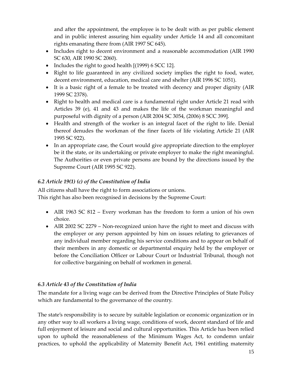and after the appointment, the employee is to be dealt with as per public element and in public interest assuring him equality under Article 14 and all concomitant rights emanating there from (AIR 1997 SC 645).

- Includes right to decent environment and a reasonable accommodation (AIR 1990) SC 630, AIR 1990 SC 2060).
- Includes the right to good health [(1999) 6 SCC 12].
- Right to life guaranteed in any civilized society implies the right to food, water, decent environment, education, medical care and shelter (AIR 1996 SC 1051).
- It is a basic right of a female to be treated with decency and proper dignity (AIR 1999 SC 2378).
- Right to health and medical care is a fundamental right under Article 21 read with Articles 39 (e), 41 and 43 and makes the life of the workman meaningful and purposeful with dignity of a person (AIR 2004 SC 3054, (2006) 8 SCC 399].
- Health and strength of the worker is an integral facet of the right to life. Denial thereof denudes the workman of the finer facets of life violating Article 21 (AIR 1995 SC 922).
- In an appropriate case, the Court would give appropriate direction to the employer be it the state, or its undertaking or private employer to make the right meaningful. The Authorities or even private persons are bound by the directions issued by the Supreme Court (AIR 1995 SC 922).

# *6.2 Article 19(1) (c) of the Constitution of India*

All citizens shall have the right to form associations or unions. This right has also been recognised in decisions by the Supreme Court:

- AIR 1963 SC 812 Every workman has the freedom to form a union of his own choice.
- AIR 2002 SC 2279 Non-recognized union have the right to meet and discuss with the employer or any person appointed by him on issues relating to grievances of any individual member regarding his service conditions and to appear on behalf of their members in any domestic or departmental enquiry held by the employer or before the Conciliation Officer or Labour Court or Industrial Tribunal, though not for collective bargaining on behalf of workmen in general.

# *6.3 Article 43 of the Constitution of India*

The mandate for a living wage can be derived from the Directive Principles of State Policy which are fundamental to the governance of the country.

The state's responsibility is to secure by suitable legislation or economic organization or in any other way to all workers a living wage, conditions of work, decent standard of life and full enjoyment of leisure and social and cultural opportunities. This Article has been relied upon to uphold the reasonableness of the Minimum Wages Act, to condemn unfair practices, to uphold the applicability of Maternity Benefit Act, 1961 entitling maternity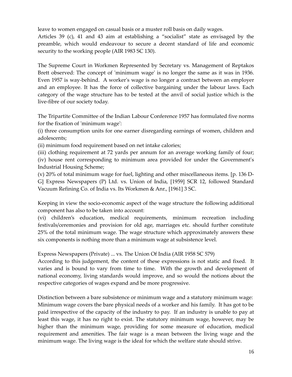leave to women engaged on casual basis or a muster roll basis on daily wages.

Articles 39 (c), 41 and 43 aim at establishing a "socialist" state as envisaged by the preamble, which would endeavour to secure a decent standard of life and economic security to the working people (AIR 1983 SC 130).

The Supreme Court in Workmen Represented by Secretary vs. Management of Reptakos Brett observed: The concept of 'minimum wage' is no longer the same as it was in 1936. Even 1957 is way‐behind. A workerʹs wage is no longer a contract between an employer and an employee. It has the force of collective bargaining under the labour laws. Each category of the wage structure has to be tested at the anvil of social justice which is the live‐fibre of our society today.

The Tripartite Committee of the Indian Labour Conference 1957 has formulated five norms for the fixation of 'minimum wage':

(i) three consumption units for one earner disregarding earnings of women, children and adolescents;

(ii) minimum food requirement based on net intake calories;

(iii) clothing requirement at 72 yards per annum for an average working family of four; (iv) house rent corresponding to minimum area provided for under the Governmentʹs Industrial Housing Scheme;

(v) 20% of total minimum wage for fuel, lighting and other miscellaneous items. [p. 136 D‐ G] Express Newspapers (P) Ltd. vs. Union of India, [1959] SCR 12, followed Standard Vacuum Refining Co. of India vs. Its Workmen & Anr., [1961] 3 SC.

Keeping in view the socio‐economic aspect of the wage structure the following additional component has also to be taken into account:

(vi) children's education, medical requirements, minimum recreation including festivals/ceremonies and provision for old age, marriages etc. should further constitute 25% of the total minimum wage. The wage structure which approximately answers these six components is nothing more than a minimum wage at subsistence level.

Express Newspapers (Private) ... vs. The Union Of India (AIR 1958 SC 579)

According to this judgement, the content of these expressions is not static and fixed. It varies and is bound to vary from time to time. With the growth and development of national economy, living standards would improve, and so would the notions about the respective categories of wages expand and be more progressive.

Distinction between a bare subsistence or minimum wage and a statutory minimum wage: Minimum wage covers the bare physical needs of a worker and his family. It has got to be paid irrespective of the capacity of the industry to pay. If an industry is unable to pay at least this wage, it has no right to exist. The statutory minimum wage, however, may be higher than the minimum wage, providing for some measure of education, medical requirement and amenities. The fair wage is a mean between the living wage and the minimum wage. The living wage is the ideal for which the welfare state should strive.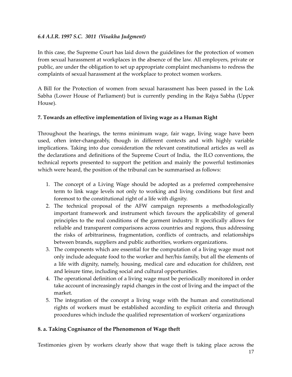#### *6.4 A.I.R. 1997 S.C. 3011 (Visakha Judgment)*

In this case, the Supreme Court has laid down the guidelines for the protection of women from sexual harassment at workplaces in the absence of the law. All employers, private or public, are under the obligation to set up appropriate complaint mechanisms to redress the complaints of sexual harassment at the workplace to protect women workers.

A Bill for the Protection of women from sexual harassment has been passed in the Lok Sabha (Lower House of Parliament) but is currently pending in the Rajya Sabha (Upper House).

# **7. Towards an effective implementation of living wage as a Human Right**

Throughout the hearings, the terms minimum wage, fair wage, living wage have been used, often inter-changeably, though in different contexts and with highly variable implications. Taking into due consideration the relevant constitutional articles as well as the declarations and definitions of the Supreme Court of India, the ILO conventions, the technical reports presented to support the petition and mainly the powerful testimonies which were heard, the position of the tribunal can be summarised as follows:

- 1. The concept of a Living Wage should be adopted as a preferred comprehensive term to link wage levels not only to working and living conditions but first and foremost to the constitutional right of a life with dignity.
- 2. The technical proposal of the AFW campaign represents a methodologically important framework and instrument which favours the applicability of general principles to the real conditions of the garment industry. It specifically allows for reliable and transparent comparisons across countries and regions, thus addressing the risks of arbitrariness, fragmentation, conflicts of contracts, and relationships between brands, suppliers and public authorities, workers organizations.
- 3. The components which are essential for the computation of a living wage must not only include adequate food to the worker and her/his family, but all the elements of a life with dignity, namely, housing, medical care and education for children, rest and leisure time, including social and cultural opportunities.
- 4. The operational definition of a living wage must be periodically monitored in order take account of increasingly rapid changes in the cost of living and the impact of the market.
- 5. The integration of the concept a living wage with the human and constitutional rights of workers must be established according to explicit criteria and through procedures which include the qualified representation of workers' organizations

#### **8. a. Taking Cognisance of the Phenomenon of Wage theft**

Testimonies given by workers clearly show that wage theft is taking place across the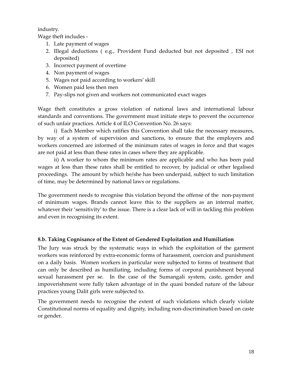industry.

Wage theft includes ‐

- 1. Late payment of wages
- 2. Illegal deductions ( e.g., Provident Fund deducted but not deposited , ESI not deposited)
- 3. Incorrect payment of overtime
- 4. Non payment of wages
- 5. Wages not paid according to workers' skill
- 6. Women paid less then men
- 7. Pay‐slips not given and workers not communicated exact wages

Wage theft constitutes a gross violation of national laws and international labour standards and conventions. The government must initiate steps to prevent the occurrence of such unfair practices. Article 4 of ILO Convention No. 26 says:

i) Each Member which ratifies this Convention shall take the necessary measures, by way of a system of supervision and sanctions, to ensure that the employers and workers concerned are informed of the minimum rates of wages in force and that wages are not paid at less than these rates in cases where they are applicable.

ii) A worker to whom the minimum rates are applicable and who has been paid wages at less than these rates shall be entitled to recover, by judicial or other legalised proceedings. The amount by which he/she has been underpaid, subject to such limitation of time, may be determined by national laws or regulations.

The government needs to recognise this violation beyond the offense of the non‐payment of minimum wages. Brands cannot leave this to the suppliers as an internal matter, whatever their 'sensitivity' to the issue. There is a clear lack of will in tackling this problem and even in recognising its extent.

# **8.b. Taking Cognisance of the Extent of Gendered Exploitation and Humiliation**

The Jury was struck by the systematic ways in which the exploitation of the garment workers was reinforced by extra‐economic forms of harassment, coercion and punishment on a daily basis. Women workers in particular were subjected to forms of treatment that can only be described as humiliating, including forms of corporal punishment beyond sexual harassment per se. In the case of the Sumangali system, caste, gender and impoverishment were fully taken advantage of in the quasi bonded nature of the labour practices young Dalit girls were subjected to.

The government needs to recognise the extent of such violations which clearly violate Constitutional norms of equality and dignity, including non‐discrimination based on caste or gender.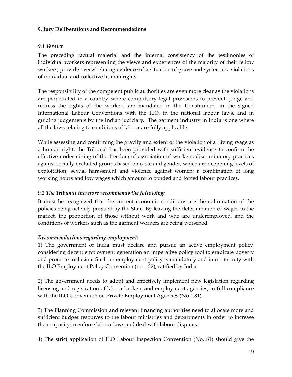#### **9. Jury Deliberations and Recommendations**

# *9.1 Verdict*

The preceding factual material and the internal consistency of the testimonies of individual workers representing the views and experiences of the majority of their fellow workers, provide overwhelming evidence of a situation of grave and systematic violations of individual and collective human rights.

The responsibility of the competent public authorities are even more clear as the violations are perpetrated in a country where compulsory legal provisions to prevent, judge and redress the rights of the workers are mandated in the Constitution, in the signed International Labour Conventions with the ILO, in the national labour laws, and in guiding judgements by the Indian judiciary. The garment industry in India is one where all the laws relating to conditions of labour are fully applicable.

While assessing and confirming the gravity and extent of the violation of a Living Wage as a human right, the Tribunal has been provided with sufficient evidence to confirm the effective undermining of the freedom of association of workers; discriminatory practices against socially excluded groups based on caste and gender, which are deepening levels of exploitation; sexual harassment and violence against women; a combination of long working hours and low wages which amount to bonded and forced labour practices.

# *9.2 The Tribunal therefore recommends the following:*

It must be recognized that the current economic conditions are the culmination of the policies being actively pursued by the State. By leaving the determination of wages to the market, the proportion of those without work and who are underemployed, and the conditions of workers such as the garment workers are being worsened.

# *Recommendations regarding employment:*

1) The government of India must declare and pursue an active employment policy, considering decent employment generation an imperative policy tool to eradicate poverty and promote inclusion. Such an employment policy is mandatory and in conformity with the ILO Employment Policy Convention (no. 122), ratified by India.

2) The government needs to adopt and effectively implement new legislation regarding licensing and registration of labour brokers and employment agencies, in full compliance with the ILO Convention on Private Employment Agencies (No. 181).

3) The Planning Commission and relevant financing authorities need to allocate more and sufficient budget resources to the labour ministries and departments in order to increase their capacity to enforce labour laws and deal with labour disputes.

4) The strict application of ILO Labour Inspection Convention (No. 81) should give the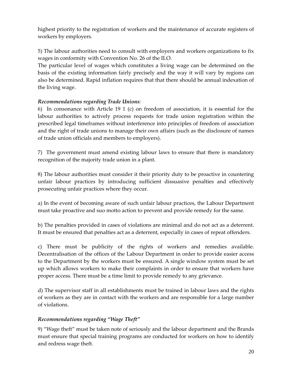highest priority to the registration of workers and the maintenance of accurate registers of workers by employers.

5) The labour authorities need to consult with employers and workers organizations to fix wages in conformity with Convention No. 26 of the ILO.

The particular level of wages which constitutes a living wage can be determined on the basis of the existing information fairly precisely and the way it will vary by regions can also be determined. Rapid inflation requires that that there should be annual indexation of the living wage.

# *Recommendations regarding Trade Unions:*

6) In consonance with Article 19 1 (c) on freedom of association, it is essential for the labour authorities to actively process requests for trade union registration within the prescribed legal timeframes without interference into principles of freedom of association and the right of trade unions to manage their own affairs (such as the disclosure of names of trade union officials and members to employers).

7) The government must amend existing labour laws to ensure that there is mandatory recognition of the majority trade union in a plant.

8) The labour authorities must consider it their priority duty to be proactive in countering unfair labour practices by introducing sufficient dissuasive penalties and effectively prosecuting unfair practices where they occur.

a) In the event of becoming aware of such unfair labour practices, the Labour Department must take proactive and suo motto action to prevent and provide remedy for the same.

b) The penalties provided in cases of violations are minimal and do not act as a deterrent. It must be ensured that penalties act as a deterrent, especially in cases of repeat offenders.

c) There must be publicity of the rights of workers and remedies available. Decentralisation of the offices of the Labour Department in order to provide easier access to the Department by the workers must be ensured. A single window system must be set up which allows workers to make their complaints in order to ensure that workers have proper access. There must be a time limit to provide remedy to any grievance.

d) The supervisor staff in all establishments must be trained in labour laws and the rights of workers as they are in contact with the workers and are responsible for a large number of violations.

# *Recommendations regarding "Wage Theft"*

9) "Wage theft" must be taken note of seriously and the labour department and the Brands must ensure that special training programs are conducted for workers on how to identify and redress wage theft.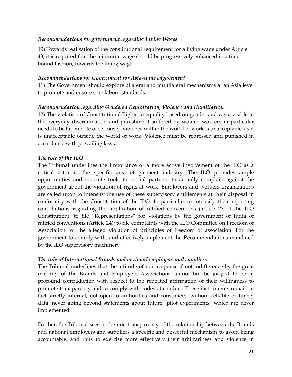#### *Recommendations for government regarding Living Wages*

10) Towards realisation of the constitutional requirement for a living wage under Article 43, it is required that the minimum wage should be progressively enhanced in a time bound fashion, towards the living wage.

#### *Recommendations for Government for Asia‐wide engagement*

11) The Government should explore bilateral and multilateral mechanisms at an Asia level to promote and ensure core labour standards.

#### *Recommendation regarding Gendered Exploitation, Violence and Humiliation*

12) The violation of Constitutional Rights to equality based on gender and caste visible in the everyday discrimination and punishment suffered by women workers in particular needs to be taken note of seriously. Violence within the world of work is unacceptable, as it is unacceptable outside the world of work. Violence must be redressed and punished in accordance with prevailing laws.

#### *The role of the ILO*

The Tribunal underlines the importance of a more active involvement of the ILO as a critical actor in the specific area of garment industry. The ILO provides ample opportunities and concrete tools for social partners to actually complain against the government about the violation of rights at work. Employers and workers organizations are called upon to intensify the use of these supervisory entitlements at their disposal in conformity with the Constitution of the ILO. In particular to intensify their reporting contributions regarding the application of ratified conventions (article 23 of the ILO Constitution); to file "Representations" for violations by the government of India of ratified conventions (Article 24); to file complaints with the ILO Committee on Freedom of Association for the alleged violation of principles of freedom of association. For the government to comply with, and effectively implement the Recommendations mandated by the ILO supervisory machinery.

#### *The role of International Brands and national employers and suppliers*

The Tribunal underlines that the attitude of non response if not indifference by the great majority of the Brands and Employers Associations cannot but be judged to be in profound contradiction with respect to the repeated affirmation of their willingness to promote transparency and to comply with codes of conduct. These instruments remain in fact strictly internal, not open to authorities and consumers, without reliable or timely data, never going beyond statements about future "pilot experiments" which are never implemented.

Further, the Tribunal sees in the non transparency of the relationship between the Brands and national employers and suppliers a specific and powerful mechanism to avoid being accountable, and thus to exercise more effectively their arbitrariness and violence in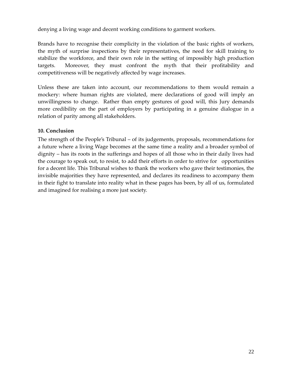denying a living wage and decent working conditions to garment workers.

Brands have to recognise their complicity in the violation of the basic rights of workers, the myth of surprise inspections by their representatives, the need for skill training to stabilize the workforce, and their own role in the setting of impossibly high production targets. Moreover, they must confront the myth that their profitability and competitiveness will be negatively affected by wage increases.

Unless these are taken into account, our recommendations to them would remain a mockery: where human rights are violated, mere declarations of good will imply an unwillingness to change. Rather than empty gestures of good will, this Jury demands more credibility on the part of employers by participating in a genuine dialogue in a relation of parity among all stakeholders.

#### **10. Conclusion**

The strength of the People's Tribunal – of its judgements, proposals, recommendations for a future where a living Wage becomes at the same time a reality and a broader symbol of dignity – has its roots in the sufferings and hopes of all those who in their daily lives had the courage to speak out, to resist, to add their efforts in order to strive for opportunities for a decent life. This Tribunal wishes to thank the workers who gave their testimonies, the invisible majorities they have represented, and declares its readiness to accompany them in their fight to translate into reality what in these pages has been, by all of us, formulated and imagined for realising a more just society.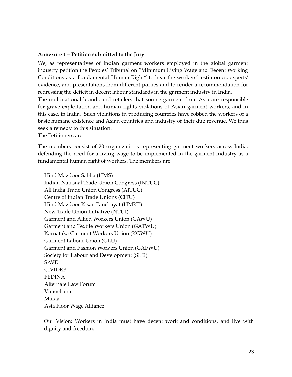#### **Annexure 1 – Petition submitted to the Jury**

We, as representatives of Indian garment workers employed in the global garment industry petition the Peoples' Tribunal on "Minimum Living Wage and Decent Working Conditions as a Fundamental Human Right" to hear the workers' testimonies, experts' evidence, and presentations from different parties and to render a recommendation for redressing the deficit in decent labour standards in the garment industry in India.

The multinational brands and retailers that source garment from Asia are responsible for grave exploitation and human rights violations of Asian garment workers, and in this case, in India. Such violations in producing countries have robbed the workers of a basic humane existence and Asian countries and industry of their due revenue. We thus seek a remedy to this situation.

The Petitioners are:

The members consist of 20 organizations representing garment workers across India, defending the need for a living wage to be implemented in the garment industry as a fundamental human right of workers. The members are:

Hind Mazdoor Sabha (HMS) Indian National Trade Union Congress (INTUC) All India Trade Union Congress (AITUC) Centre of Indian Trade Unions (CITU) Hind Mazdoor Kisan Panchayat (HMKP) New Trade Union Initiative (NTUI) Garment and Allied Workers Union (GAWU) Garment and Textile Workers Union (GATWU) Karnataka Garment Workers Union (KGWU) Garment Labour Union (GLU) Garment and Fashion Workers Union (GAFWU) Society for Labour and Development (SLD) SAVE CIVIDEP FEDINA Alternate Law Forum Vimochana Maraa Asia Floor Wage Alliance

Our Vision: Workers in India must have decent work and conditions, and live with dignity and freedom.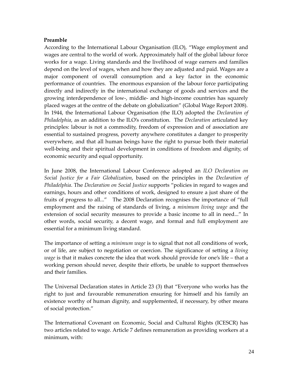#### **Preamble**

According to the International Labour Organisation (ILO), "Wage employment and wages are central to the world of work. Approximately half of the global labour force works for a wage. Living standards and the livelihood of wage earners and families depend on the level of wages, when and how they are adjusted and paid. Wages are a major component of overall consumption and a key factor in the economic performance of countries. The enormous expansion of the labour force participating directly and indirectly in the international exchange of goods and services and the growing interdependence of low‐, middle‐ and high‐income countries has squarely placed wages at the centre of the debate on globalization" (Global Wage Report 2008). In 1944, the International Labour Organisation (the ILO) adopted the *Declaration of Philadelphia*, as an addition to the ILO's constitution. The *Declaration* articulated key principles: labour is not a commodity, freedom of expression and of association are essential to sustained progress, poverty anywhere constitutes a danger to prosperity everywhere, and that all human beings have the right to pursue both their material well-being and their spiritual development in conditions of freedom and dignity, of economic security and equal opportunity.

In June 2008, the International Labour Conference adopted an *ILO Declaration on Social Justice for a Fair Globalization*, based on the principles in the *Declaration of Philadelphia*. The *Declaration on Social Justice* supports "policies in regard to wages and earnings, hours and other conditions of work, designed to ensure a just share of the fruits of progress to all..." The 2008 Declaration recognises the importance of "full employment and the raising of standards of living, a *minimum living wage* and the extension of social security measures to provide a basic income to all in need..." In other words, social security, a decent wage, and formal and full employment are essential for a minimum living standard.

The importance of setting a *minimum wage* is to signal that not all conditions of work, or of life, are subject to negotiation or coercion. The significance of setting a *living wage* is that it makes concrete the idea that work should provide for one's life – that a working person should never, despite their efforts, be unable to support themselves and their families.

The Universal Declaration states in Article 23 (3) that "Everyone who works has the right to just and favourable remuneration ensuring for himself and his family an existence worthy of human dignity, and supplemented, if necessary, by other means of social protection."

The International Covenant on Economic, Social and Cultural Rights (ICESCR) has two articles related to wage. Article 7 defines remuneration as providing workers at a minimum, with: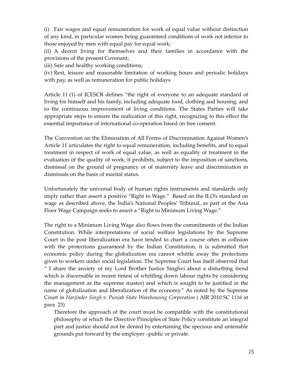(i) Fair wages and equal remuneration for work of equal value without distinction of any kind, in particular women being guaranteed conditions of work not inferior to those enjoyed by men with equal pay for equal work;

(ii) A decent living for themselves and their families in accordance with the provisions of the present Covenant;

(iii) Safe and healthy working conditions;

(iv) Rest, leisure and reasonable limitation of working hours and periodic holidays with pay, as well as remuneration for public holidays

Article 11 (1) of ICESCR defines "the right of everyone to an adequate standard of living for himself and his family, including adequate food, clothing and housing, and to the continuous improvement of living conditions. The States Parties will take appropriate steps to ensure the realization of this right, recognizing to this effect the essential importance of international co-operation based on free consent.

The Convention on the Elimination of All Forms of Discrimination Against Women's Article 11 articulates the right to equal remuneration, including benefits, and to equal treatment in respect of work of equal value, as well as equality of treatment in the evaluation of the quality of work; it prohibits, subject to the imposition of sanctions, dismissal on the ground of pregnancy or of maternity leave and discrimination in dismissals on the basis of marital status.

Unfortunately the universal body of human rights instruments and standards only imply rather than assert a positive "Right to Wage." Based on the ILO's standard on wage as described above, the India's National Peoples' Tribunal, as part of the Asia Floor Wage Campaign seeks to assert a "Right to Minimum Living Wage."

The right to a Minimum Living Wage also flows from the commitments of the Indian Constitution. While interpretations of social welfare legislations by the Supreme Court in the post liberalization era have tended to chart a course often in collision with the protections guaranteed by the Indian Constitution, it is submitted that economic policy during the globalization era cannot whittle away the protections given to workers under social legislation. The Supreme Court has itself observed that " I share the anxiety of my Lord Brother Justice Singhvi about a disturbing trend which is discernable in recent times( of whittling down labour rights by considering the management as the supreme master) and which is sought to be justified in the name of globalization and liberalization of the economy." As noted by the Supreme Court in *Harjinder Singh v. Punjab State Warehousing Corporation* ( AIR 2010 SC 1116 at para 23)

Therefore the approach of the court must be compatible with the constitutional philosophy of which the Directive Principles of State Policy constitute an integral part and justice should not be denied by entertaining the specious and untenable grounds put forward by the employer –public or private.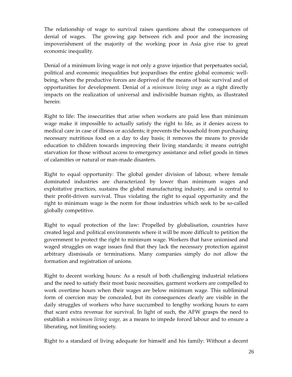The relationship of wage to survival raises questions about the consequences of denial of wages. The growing gap between rich and poor and the increasing impoverishment of the majority of the working poor in Asia give rise to great economic inequality.

Denial of a minimum living wage is not only a grave injustice that perpetuates social, political and economic inequalities but jeopardises the entire global economic well‐ being, where the productive forces are deprived of the means of basic survival and of opportunities for development. Denial of a *minimum living wage* as a right directly impacts on the realization of universal and indivisible human rights, as illustrated herein:

Right to life: The insecurities that arise when workers are paid less than minimum wage make it impossible to actually satisfy the right to life, as it denies access to medical care in case of illness or accidents; it prevents the household from purchasing necessary nutritious food on a day to day basis; it removes the means to provide education to children towards improving their living standards; it means outright starvation for those without access to emergency assistance and relief goods in times of calamities or natural or man‐made disasters.

Right to equal opportunity: The global gender division of labour, where female dominated industries are characterized by lower than minimum wages and exploitative practices, sustains the global manufacturing industry, and is central to their profit‐driven survival. Thus violating the right to equal opportunity and the right to minimum wage is the norm for those industries which seek to be so-called globally competitive.

Right to equal protection of the law: Propelled by globalisation, countries have created legal and political environments where it will be more difficult to petition the government to protect the right to minimum wage. Workers that have unionised and waged struggles on wage issues find that they lack the necessary protection against arbitrary dismissals or terminations. Many companies simply do not allow the formation and registration of unions.

Right to decent working hours: As a result of both challenging industrial relations and the need to satisfy their most basic necessities, garment workers are compelled to work overtime hours when their wages are below minimum wage. This subliminal form of coercion may be concealed, but its consequences clearly are visible in the daily struggles of workers who have succumbed to lengthy working hours to earn that scant extra revenue for survival. In light of such, the AFW grasps the need to establish a *minimum living wage,* as a means to impede forced labour and to ensure a liberating, not limiting society.

Right to a standard of living adequate for himself and his family: Without a decent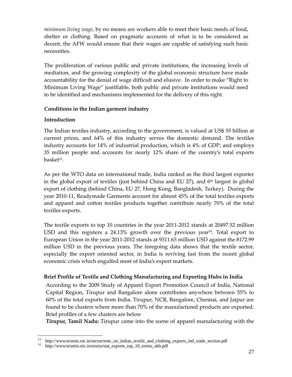*minimum living wage*, by no means are workers able to meet their basic needs of food, shelter or clothing. Based on pragmatic accounts of what is to be considered as decent, the AFW would ensure that their wages are capable of satisfying such basic necessities.

The proliferation of various public and private institutions, the increasing levels of mediation, and the growing complexity of the global economic structure have made accountability for the denial of wage difficult and elusive. In order to make "Right to Minimum Living Wage" justifiable, both public and private institutions would need to be identified and mechanisms implemented for the delivery of this right.

# **Conditions in the Indian garment industry**

# **Introduction**

The Indian textiles industry, according to the government, is valued at US\$ 55 billion at current prices, and 64% of this industry serves the domestic demand. The textiles industry accounts for 14% of industrial production, which is 4% of GDP; and employs 35 million people and accounts for nearly 12% share of the country's total exports  $b$ aske $t^{13}$ .

As per the WTO data on international trade, India ranked as the third largest exporter in the global export of textiles (just behind China and EU 27), and  $6<sup>th</sup>$  largest in global export of clothing (behind China, EU 27, Hong Kong, Bangladesh, Turkey). During the year 2010-11, Readymade Garments account for almost 45% of the total textiles exports and apparel and cotton textiles products together contribute nearly 70% of the total textiles exports.

The textile exports to top 10 countries in the year 2011‐2012 stands at 20497.52 million USD and this registers a 24.13% growth over the previous year<sup>14</sup>. Total export to European Union in the year 2011‐2012 stands at 9311.63 million USD against the 8172.99 million USD in the previous years. The foregoing data shows that the textile sector, especially the export oriented sector, in India is reviving fast from the recent global economic crisis which engulfed most of India's export markets.

# **Brief Profile of Textile and Clothing Manufacturing and Exporting Hubs in India**

According to the 2009 Study of Apparel Export Promotion Council of India, National Capital Region, Tirupur and Bangalore alone contributes anywhere between 55% to 60% of the total exports from India. Tirupur, NCR, Bangalore, Chennai, and Jaipur are found to be clusters where more than 70% of the manufactured products are exported. Brief profiles of a few clusters are below

**Tirupur, Tamil Nadu:** Tirupur came into the scene of apparel manufacturing with the

 <sup>13</sup> http://www.texmin.nic.in/sector/note\_on\_indian\_textile\_and\_clothing\_exports\_intl\_trade\_section.pdf<br><sup>14</sup> http://www.texmin.nic.in/ermin/stat\_exports\_ton\_10\_ermin\_akb.pdf

<sup>14</sup> http://www.texmin.nic.in/ermiu/stat\_exports\_top\_10\_ermiu\_akb.pdf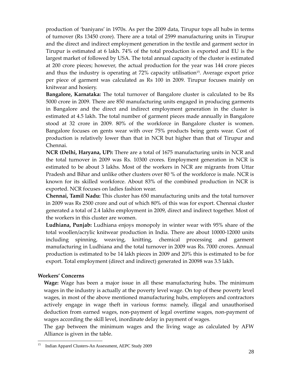production of 'baniyans' in 1970s. As per the 2009 data, Tirupur tops all hubs in terms of turnover (Rs 13450 crore). There are a total of 2599 manufacturing units in Tirupur and the direct and indirect employment generation in the textile and garment sector in Tirupur is estimated at 6 lakh. 74% of the total production is exported and EU is the largest market of followed by USA. The total annual capacity of the cluster is estimated at 200 crore pieces; however, the actual production for the year was 144 crore pieces and thus the industry is operating at  $72\%$  capacity utilisation<sup>15</sup>. Average export price per piece of garment was calculated as Rs 100 in 2009. Tirupur focuses mainly on knitwear and hosiery.

**Bangalore, Karnataka:** The total turnover of Bangalore cluster is calculated to be Rs 5000 crore in 2009. There are 850 manufacturing units engaged in producing garments in Bangalore and the direct and indirect employment generation in the cluster is estimated at 4.5 lakh. The total number of garment pieces made annually in Bangalore stood at 32 crore in 2009. 80% of the workforce in Bangalore cluster is women. Bangalore focuses on gents wear with over 75% products being gents wear. Cost of production is relatively lower than that in NCR but higher than that of Tirupur and Chennai.

**NCR (Delhi, Haryana, UP):** There are a total of 1675 manufacturing units in NCR and the total turnover in 2009 was Rs. 10300 crores. Employment generation in NCR is estimated to be about 3 lakhs. Most of the workers in NCR are migrants from Uttar Pradesh and Bihar and unlike other clusters over 80 % of the workforce is male. NCR is known for its skilled workforce. About 83% of the combined production in NCR is exported. NCR focuses on ladies fashion wear.

**Chennai, Tamil Nadu:** This cluster has 650 manufacturing units and the total turnover in 2009 was Rs 2500 crore and out of which 80% of this was for export. Chennai cluster generated a total of 2.4 lakhs employment in 2009, direct and indirect together. Most of the workers in this cluster are women.

**Ludhiana, Punjab:** Ludhiana enjoys monopoly in winter wear with 95% share of the total woollen/acrylic knitwear production in India. There are about 10000‐12000 units including spinning, weaving, knitting, chemical processing and garment manufacturing in Ludhiana and the total turnover in 2009 was Rs. 7000 crores. Annual production is estimated to be 14 lakh pieces in 2009 and 20% this is estimated to be for export. Total employment (direct and indirect) generated in 20098 was 3.5 lakh.

#### **Workers' Concerns**

**Wage:** Wage has been a major issue in all these manufacturing hubs. The minimum wages in the industry is actually at the poverty level wage. On top of these poverty level wages, in most of the above mentioned manufacturing hubs, employers and contractors actively engage in wage theft in various forms: namely, illegal and unauthorised deduction from earned wages, non‐payment of legal overtime wages, non‐payment of wages according the skill level, inordinate delay in payment of wages.

The gap between the minimum wages and the living wage as calculated by AFW Alliance is given in the table.

<sup>15</sup> 15 Indian Apparel Clusters-An Assessment, AEPC Study 2009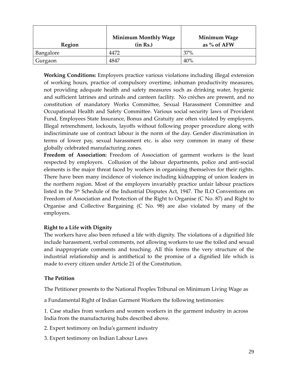| Region    | <b>Minimum Monthly Wage</b><br>(in Rs.) | Minimum Wage<br>as $%$ of AFW |
|-----------|-----------------------------------------|-------------------------------|
| Bangalore | 4472                                    | 37%                           |
| Gurgaon   | 4847                                    | 40%                           |

**Working Conditions:** Employers practice various violations including illegal extension of working hours, practice of compulsory overtime, inhuman productivity measures, not providing adequate health and safety measures such as drinking water, hygienic and sufficient latrines and urinals and canteen facility. No crèches are present, and no constitution of mandatory Works Committee, Sexual Harassment Committee and Occupational Health and Safety Committee. Various social security laws of Provident Fund, Employees State Insurance, Bonus and Gratuity are often violated by employers. Illegal retrenchment, lockouts, layoffs without following proper procedure along with indiscriminate use of contract labour is the norm of the day. Gender discrimination in terms of lower pay, sexual harassment etc. is also very common in many of these globally celebrated manufacturing zones.

**Freedom of Association:** Freedom of Association of garment workers is the least respected by employers. Collusion of the labour departments, police and anti-social elements is the major threat faced by workers in organising themselves for their rights. There have been many incidence of violence including kidnapping of union leaders in the northern region. Most of the employers invariably practice unfair labour practices listed in the 5<sup>th</sup> Schedule of the Industrial Disputes Act, 1947. The ILO Conventions on Freedom of Association and Protection of the Right to Organise (C No. 87) and Right to Organise and Collective Bargaining (C No. 98) are also violated by many of the employers.

#### **Right to a Life with Dignity**

The workers have also been refused a life with dignity. The violations of a dignified life include harassment, verbal comments, not allowing workers to use the toiled and sexual and inappropriate comments and touching. All this forms the very structure of the industrial relationship and is antithetical to the promise of a dignified life which is made to every citizen under Article 21 of the Constitution.

#### **The Petition**

The Petitioner presents to the National Peoples Tribunal on Minimum Living Wage as

a Fundamental Right of Indian Garment Workers the following testimonies:

1. Case studies from workers and women workers in the garment industry in across India from the manufacturing hubs described above.

- 2. Expert testimony on India's garment industry
- 3. Expert testimony on Indian Labour Laws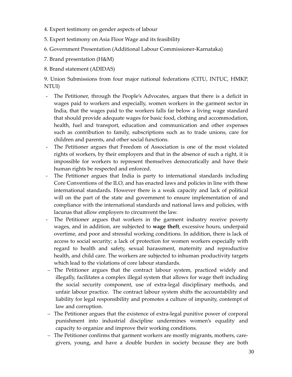- 4. Expert testimony on gender aspects of labour
- 5. Expert testimony on Asia Floor Wage and its feasibility
- 6. Government Presentation (Additional Labour Commissioner‐Karnataka)
- 7. Brand presentation (H&M)
- 8. Brand statement (ADIDAS)

9. Union Submissions from four major national federations (CITU, INTUC, HMKP, NTUI)

- ‐ The Petitioner, through the People's Advocates, argues that there is a deficit in wages paid to workers and especially, women workers in the garment sector in India, that the wages paid to the workers falls far below a living wage standard that should provide adequate wages for basic food, clothing and accommodation, health, fuel and transport, education and communication and other expenses such as contribution to family, subscriptions such as to trade unions, care for children and parents, and other social functions.
- ‐ The Petitioner argues that Freedom of Association is one of the most violated rights of workers, by their employers and that in the absence of such a right, it is impossible for workers to represent themselves democratically and have their human rights be respected and enforced.
- The Petitioner argues that India is party to international standards including Core Conventions of the ILO, and has enacted laws and policies in line with these international standards. However there is a weak capacity and lack of political will on the part of the state and government to ensure implementation of and compliance with the international standards and national laws and policies, with lacunas that allow employers to circumvent the law.
- The Petitioner argues that workers in the garment industry receive poverty wages, and in addition, are subjected to **wage theft**, excessive hours, underpaid overtime, and poor and stressful working conditions. In addition, there is lack of access to social security; a lack of protection for women workers especially with regard to health and safety, sexual harassment, maternity and reproductive health, and child care. The workers are subjected to inhuman productivity targets which lead to the violations of core labour standards.
- The Petitioner argues that the contract labour system, practiced widely and illegally, facilitates a complex illegal system that allows for wage theft including the social security component, use of extra‐legal disciplinary methods, and unfair labour practice. The contract labour system shifts the accountability and liability for legal responsibility and promotes a culture of impunity, contempt of law and corruption.
- The Petitioner argues that the existence of extra‐legal punitive power of corporal punishment into industrial discipline undermines women's equality and capacity to organize and improve their working conditions.
- The Petitioner confirms that garment workers are mostly migrants, mothers, care‐ givers, young, and have a double burden in society because they are both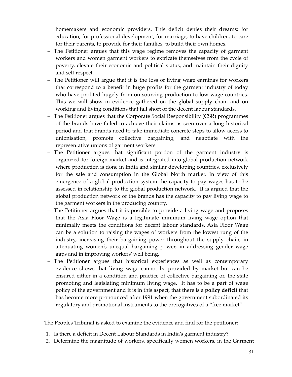homemakers and economic providers. This deficit denies their dreams: for education, for professional development, for marriage, to have children, to care for their parents, to provide for their families, to build their own homes.

- The Petitioner argues that this wage regime removes the capacity of garment workers and women garment workers to extricate themselves from the cycle of poverty, elevate their economic and political status, and maintain their dignity and self respect.
- The Petitioner will argue that it is the loss of living wage earnings for workers that correspond to a benefit in huge profits for the garment industry of today who have profited hugely from outsourcing production to low wage countries. This we will show in evidence gathered on the global supply chain and on working and living conditions that fall short of the decent labour standards.
- The Petitioner argues that the Corporate Social Responsibility (CSR) programmes of the brands have failed to achieve their claims as seen over a long historical period and that brands need to take immediate concrete steps to allow access to unionisation, promote collective bargaining, and negotiate with the representative unions of garment workers.
- The Petitioner argues that significant portion of the garment industry is organized for foreign market and is integrated into global production network where production is done in India and similar developing countries, exclusively for the sale and consumption in the Global North market. In view of this emergence of a global production system the capacity to pay wages has to be assessed in relationship to the global production network. It is argued that the global production network of the brands has the capacity to pay living wage to the garment workers in the producing country.
- The Petitioner argues that it is possible to provide a living wage and proposes that the Asia Floor Wage is a legitimate minimum living wage option that minimally meets the conditions for decent labour standards. Asia Floor Wage can be a solution to raising the wages of workers from the lowest rung of the industry, increasing their bargaining power throughout the supply chain, in attenuating women's unequal bargaining power, in addressing gender wage gaps and in improving workers' well being.
- The Petitioner argues that historical experiences as well as contemporary evidence shows that living wage cannot be provided by market but can be ensured either in a condition and practice of collective bargaining or, the state promoting and legislating minimum living wage. It has to be a part of wage policy of the government and it is in this aspect, that there is a **policy deficit** that has become more pronounced after 1991 when the government subordinated its regulatory and promotional instruments to the prerogatives of a "free market".

The Peoples Tribunal is asked to examine the evidence and find for the petitioner:

- 1. Is there a deficit in Decent Labour Standards in India's garment industry?
- 2. Determine the magnitude of workers, specifically women workers, in the Garment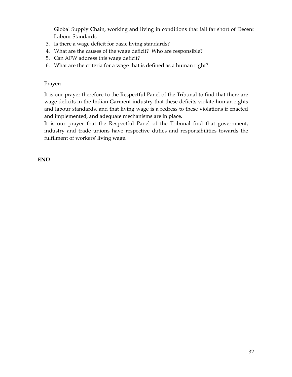Global Supply Chain, working and living in conditions that fall far short of Decent Labour Standards

- 3. Is there a wage deficit for basic living standards?
- 4. What are the causes of the wage deficit? Who are responsible?
- 5. Can AFW address this wage deficit?
- 6. What are the criteria for a wage that is defined as a human right?

#### Prayer:

It is our prayer therefore to the Respectful Panel of the Tribunal to find that there are wage deficits in the Indian Garment industry that these deficits violate human rights and labour standards, and that living wage is a redress to these violations if enacted and implemented, and adequate mechanisms are in place.

It is our prayer that the Respectful Panel of the Tribunal find that government, industry and trade unions have respective duties and responsibilities towards the fulfilment of workers' living wage.

**END**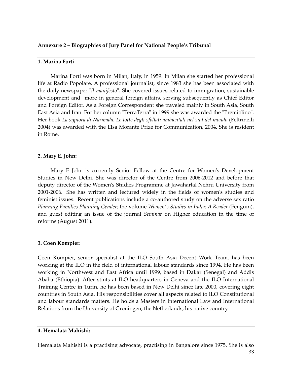#### **Annexure 2 – Biographies of Jury Panel for National People's Tribunal**

#### **1. Marina Forti**

Marina Forti was born in Milan, Italy, in 1959. In Milan she started her professional life at Radio Popolare. A professional journalist, since 1983 she has been associated with the daily newspaper "*il manifesto*". She covered issues related to immigration, sustainable development and more in general foreign affairs, serving subsequently as Chief Editor and Foreign Editor. As a Foreign Correspondent she traveled mainly in South Asia, South East Asia and Iran. For her column "TerraTerra" in 1999 she was awarded the "Premiolino". Her book *La signora di Narmada. Le lotte degli sfollati ambientali nel sud del mondo* (Feltrinelli 2004) was awarded with the Elsa Morante Prize for Communication, 2004. She is resident in Rome.

#### **2. Mary E. John:**

Mary E John is currently Senior Fellow at the Centre for Women's Development Studies in New Delhi. She was director of the Centre from 2006‐2012 and before that deputy director of the Womenʹs Studies Programme at Jawaharlal Nehru University from 2001‐2006. She has written and lectured widely in the fields of womenʹs studies and feminist issues. Recent publications include a co-authored study on the adverse sex ratio *Planning Families Planning Gender;* the volume *Womenʹs Studies in India; A Reader* (Penguin), and guest editing an issue of the journal *Seminar* on Higher education in the time of reforms (August 2011).

#### **3. Coen Kompier:**

Coen Kompier, senior specialist at the ILO South Asia Decent Work Team, has been working at the ILO in the field of international labour standards since 1994. He has been working in Northwest and East Africa until 1999, based in Dakar (Senegal) and Addis Ababa (Ethiopia). After stints at ILO headquarters in Geneva and the ILO International Training Centre in Turin, he has been based in New Delhi since late 2000, covering eight countries in South Asia. His responsibilities cover all aspects related to ILO Constitutional and labour standards matters. He holds a Masters in International Law and International Relations from the University of Groningen, the Netherlands, his native country.

#### **4. Hemalata Mahishi:**

33 Hemalata Mahishi is a practising advocate, practising in Bangalore since 1975. She is also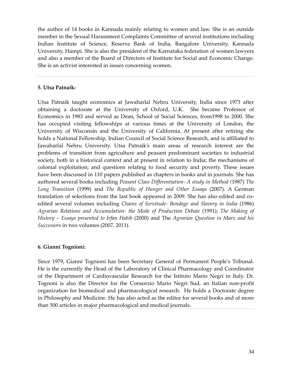the author of 14 books in Kannada mainly relating to women and law. She is an outside member in the Sexual Harassment Complaints Committee of several institutions including Indian Institute of Science, Reserve Bank of India, Bangalore University, Kannada University, Hampi. She is also the president of the Karnataka federation of women lawyers and also a member of the Board of Directors of Institute for Social and Economic Change. She is an activist interested in issues concerning women.

#### **5. Utsa Patnaik:**

Utsa Patnaik taught economics at Jawaharlal Nehru University, India since 1973 after obtaining a doctorate at the University of Oxford, U.K. She became Professor of Economics in 1983 and served as Dean, School of Social Sciences, from1998 to 2000. She has occupied visiting fellowships at various times at the University of London, the University of Wisconsin and the University of California. At present after retiring she holds a National Fellowship, Indian Council of Social Science Research, and is affiliated to Jawaharlal Nehru University. Utsa Patnaik's main areas of research interest are the problems of transition from agriculture and peasant predominant societies to industrial society, both in a historical context and at present in relation to India; the mechanisms of colonial exploitation; and questions relating to food security and poverty. These issues have been discussed in 110 papers published as chapters in books and in journals. She has authored several books including *Peasant Class Differentiation‐ A study in Method (*1987) *The Long Transition* (1999) and *The Republic of Hunger and Other Essays* (2007)*.* A German translation of selections from the last book appeared in 2009*.* She has also edited and co‐ edited several volumes including *Chains of Servitude‐ Bondage and Slavery in India* (1986) *Agrarian Relations and Accumulation‐ the Mode of Production Debate* (1991); *The Making of History – Essays presented to Irfan Habib* (2000) and The *Agrarian Question in Marx and his Successors* in two volumes (2007, 2011)*.*

#### **6. Gianni Tognioni:**

Since 1979, Gianni Tognioni has been Secretary General of Permanent Peopleʹs Tribunal. He is the currently the Head of the Laboratory of Clinical Pharmacology and Coordinator of the Department of Cardiovascular Research for the Istituto Mario Negri in Italy. Dr. Tognoni is also the Director for the Consorzio Mario Negri Sud, an Italian non‐profit organization for biomedical and pharmacological research. He holds a Doctorate degree in Philosophy and Medicine. He has also acted as the editor for several books and of more than 500 articles in major pharmacological and medical journals.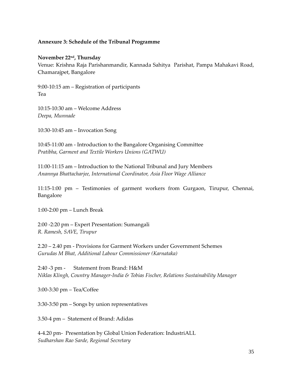#### **Annexure 3: Schedule of the Tribunal Programme**

#### **November 22nd, Thursday**

Venue: Krishna Raja Parishanmandir, Kannada Sahitya Parishat, Pampa Mahakavi Road, Chamarajpet, Bangalore

9:00‐10:15 am – Registration of participants Tea

10:15‐10:30 am – Welcome Address *Deepa, Munnade*

10:30‐10:45 am – Invocation Song

10:45‐11:00 am ‐ Introduction to the Bangalore Organising Committee *Pratibha, Garment and Textile Workers Unions (GATWU)*

11:00‐11:15 am – Introduction to the National Tribunal and Jury Members *Anannya Bhattacharjee, International Coordinator, Asia Floor Wage Alliance*

11:15‐1:00 pm – Testimonies of garment workers from Gurgaon, Tirupur, Chennai, Bangalore

1:00‐2:00 pm – Lunch Break

2:00 ‐2:20 pm – Expert Presentation: Sumangali *R. Ramesh, SAVE, Tirupur*

2.20 – 2.40 pm ‐ Provisions for Garment Workers under Government Schemes *Gurudas M Bhat, Additional Labour Commissioner (Karnataka)*

2:40 ‐3 pm ‐Statement from Brand: H&M *Niklas Klingh, Country Manager‐India & Tobias Fischer, Relations Sustainability Manager*

3:00‐3:30 pm – Tea/Coffee

3:30‐3:50 pm – Songs by union representatives

3.50‐4 pm – Statement of Brand: Adidas

4‐4.20 pm‐ Presentation by Global Union Federation: IndustriALL *Sudharshan Rao Sarde, Regional Secretary*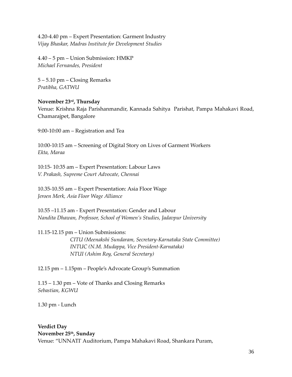4.20‐4.40 pm – Expert Presentation: Garment Industry *Vijay Bhaskar, Madras Institute for Development Studies*

4.40 – 5 pm – Union Submission: HMKP *Michael Fernandes, President*

5 – 5.10 pm – Closing Remarks *Pratibha, GATWU*

#### **November 23rd, Thursday**

Venue: Krishna Raja Parishanmandir, Kannada Sahitya Parishat, Pampa Mahakavi Road, Chamarajpet, Bangalore

9:00‐10:00 am – Registration and Tea

10:00‐10:15 am – Screening of Digital Story on Lives of Garment Workers *Ekta, Maraa*

10:15‐ 10:35 am – Expert Presentation: Labour Laws *V. Prakash, Supreme Court Advocate, Chennai*

10.35‐10.55 am – Expert Presentation: Asia Floor Wage *Jeroen Merk, Asia Floor Wage Alliance*

10.55 –11.15 am ‐ Expert Presentation: Gender and Labour *Nandita Dhawan, Professor, School of Women's Studies, Jadavpur University*

11.15‐12.15 pm – Union Submissions:

*CITU (Meenakshi Sundaram, Secretary‐Karnataka State Committee) INTUC (N.M. Mudappa, Vice President‐Karnataka) NTUI (Ashim Roy, General Secretary)*

12.15 pm – 1.15pm – People's Advocate Group's Summation

1.15 – 1.30 pm – Vote of Thanks and Closing Remarks *Sebastian, KGWU*

1.30 pm ‐ Lunch

#### **Verdict Day November 25th, Sunday**

Venue: "UNNATIʹ Auditorium, Pampa Mahakavi Road, Shankara Puram,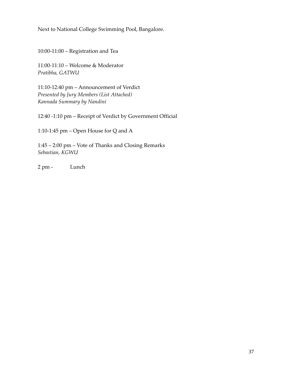Next to National College Swimming Pool, Bangalore.

10:00‐11:00 – Registration and Tea

11:00‐11:10 – Welcome & Moderator *Pratibha, GATWU*

11:10‐12:40 pm – Announcement of Verdict *Presented by Jury Members (List Attached) Kannada Summary by Nandini*

12:40 ‐1:10 pm – Receipt of Verdict by Government Official

1:10‐1:45 pm – Open House for Q and A

1:45 – 2:00 pm – Vote of Thanks and Closing Remarks *Sebastian, KGWU*

2 pm ‐ Lunch